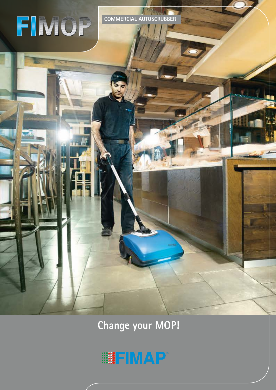

**COMMERCIAL AUTOSCRUBBER**

**Change your MOP!**